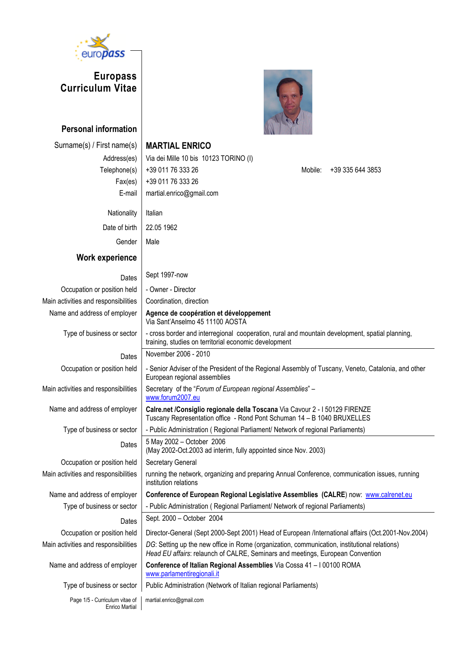

## Europass Curriculum Vitae

Personal information



| Surname(s) / First name(s)           | <b>MARTIAL ENRICO</b>                                                                                                                                                          |  |  |  |  |  |  |  |  |  |
|--------------------------------------|--------------------------------------------------------------------------------------------------------------------------------------------------------------------------------|--|--|--|--|--|--|--|--|--|
| Address(es)                          | Via dei Mille 10 bis 10123 TORINO (I)                                                                                                                                          |  |  |  |  |  |  |  |  |  |
| Telephone(s)                         | +39 011 76 333 26<br>Mobile:<br>+39 335 644 3853                                                                                                                               |  |  |  |  |  |  |  |  |  |
| Fax(es)                              | +39 011 76 333 26                                                                                                                                                              |  |  |  |  |  |  |  |  |  |
| E-mail                               | martial.enrico@gmail.com                                                                                                                                                       |  |  |  |  |  |  |  |  |  |
| Nationality                          | Italian                                                                                                                                                                        |  |  |  |  |  |  |  |  |  |
| Date of birth                        | 22.05 1962                                                                                                                                                                     |  |  |  |  |  |  |  |  |  |
| Gender                               | Male                                                                                                                                                                           |  |  |  |  |  |  |  |  |  |
| <b>Work experience</b>               |                                                                                                                                                                                |  |  |  |  |  |  |  |  |  |
| Dates                                | Sept 1997-now                                                                                                                                                                  |  |  |  |  |  |  |  |  |  |
| Occupation or position held          | - Owner - Director                                                                                                                                                             |  |  |  |  |  |  |  |  |  |
| Main activities and responsibilities | Coordination, direction                                                                                                                                                        |  |  |  |  |  |  |  |  |  |
| Name and address of employer         | Agence de coopération et développement<br>Via Sant'Anselmo 45 11100 AOSTA                                                                                                      |  |  |  |  |  |  |  |  |  |
| Type of business or sector           | - cross border and interregional cooperation, rural and mountain development, spatial planning,<br>training, studies on territorial economic development                       |  |  |  |  |  |  |  |  |  |
| Dates                                | November 2006 - 2010                                                                                                                                                           |  |  |  |  |  |  |  |  |  |
| Occupation or position held          | - Senior Adviser of the President of the Regional Assembly of Tuscany, Veneto, Catalonia, and other<br>European regional assemblies                                            |  |  |  |  |  |  |  |  |  |
| Main activities and responsibilities | Secretary of the "Forum of European regional Assemblies" -<br>www.forum2007.eu                                                                                                 |  |  |  |  |  |  |  |  |  |
| Name and address of employer         | Calre.net /Consiglio regionale della Toscana Via Cavour 2 - I 50129 FIRENZE<br>Tuscany Representation office - Rond Pont Schuman 14 - B 1040 BRUXELLES                         |  |  |  |  |  |  |  |  |  |
| Type of business or sector           | - Public Administration (Regional Parliament/ Network of regional Parliaments)                                                                                                 |  |  |  |  |  |  |  |  |  |
| Dates                                | 5 May 2002 - October 2006<br>(May 2002-Oct.2003 ad interim, fully appointed since Nov. 2003)                                                                                   |  |  |  |  |  |  |  |  |  |
| Occupation or position held          | Secretary General                                                                                                                                                              |  |  |  |  |  |  |  |  |  |
| Main activities and responsibilities | running the network, organizing and preparing Annual Conference, communication issues, running<br>institution relations                                                        |  |  |  |  |  |  |  |  |  |
| Name and address of employer         | Conference of European Regional Legislative Assemblies (CALRE) now: www.calrenet.eu                                                                                            |  |  |  |  |  |  |  |  |  |
| Type of business or sector           | - Public Administration (Regional Parliament/ Network of regional Parliaments)                                                                                                 |  |  |  |  |  |  |  |  |  |
| Dates                                | Sept. 2000 - October 2004                                                                                                                                                      |  |  |  |  |  |  |  |  |  |
| Occupation or position held          | Director-General (Sept 2000-Sept 2001) Head of European /International affairs (Oct.2001-Nov.2004)                                                                             |  |  |  |  |  |  |  |  |  |
| Main activities and responsibilities | DG: Setting up the new office in Rome (organization, communication, institutional relations)<br>Head EU affairs: relaunch of CALRE, Seminars and meetings, European Convention |  |  |  |  |  |  |  |  |  |
| Name and address of employer         | Conference of Italian Regional Assemblies Via Cossa 41 - I 00100 ROMA<br>www.parlamentiregionali.it                                                                            |  |  |  |  |  |  |  |  |  |
| Type of business or sector           | Public Administration (Network of Italian regional Parliaments)                                                                                                                |  |  |  |  |  |  |  |  |  |

Page 1/5 - Curriculum vitae of Enrico Martial martial.enrico@gmail.com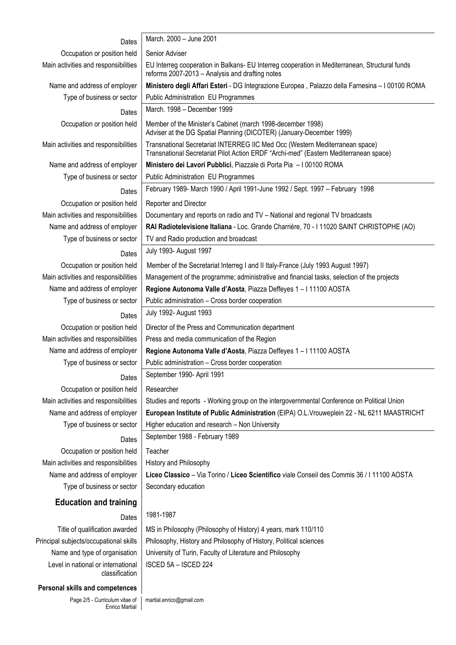| Dates                                                | March. 2000 - June 2001                                                                                                                                               |  |  |  |  |  |  |  |
|------------------------------------------------------|-----------------------------------------------------------------------------------------------------------------------------------------------------------------------|--|--|--|--|--|--|--|
| Occupation or position held                          | Senior Adviser                                                                                                                                                        |  |  |  |  |  |  |  |
| Main activities and responsibilities                 | EU Interreg cooperation in Balkans- EU Interreg cooperation in Mediterranean, Structural funds<br>reforms 2007-2013 - Analysis and drafting notes                     |  |  |  |  |  |  |  |
| Name and address of employer                         | Ministero degli Affari Esteri - DG Integrazione Europea , Palazzo della Farnesina - I 00100 ROMA                                                                      |  |  |  |  |  |  |  |
| Type of business or sector                           | <b>Public Administration EU Programmes</b>                                                                                                                            |  |  |  |  |  |  |  |
| Dates                                                | March. 1998 - December 1999                                                                                                                                           |  |  |  |  |  |  |  |
| Occupation or position held                          | Member of the Minister's Cabinet (march 1998-december 1998)<br>Adviser at the DG Spatial Planning (DICOTER) (January-December 1999)                                   |  |  |  |  |  |  |  |
| Main activities and responsibilities                 | Transnational Secretariat INTERREG IIC Med Occ (Western Mediterranean space)<br>Transnational Secretariat Pilot Action ERDF "Archi-med" (Eastern Mediterranean space) |  |  |  |  |  |  |  |
| Name and address of employer                         | Ministero dei Lavori Pubblici, Piazzale di Porta Pia - I 00100 ROMA                                                                                                   |  |  |  |  |  |  |  |
| Type of business or sector                           | <b>Public Administration EU Programmes</b>                                                                                                                            |  |  |  |  |  |  |  |
| Dates                                                | February 1989- March 1990 / April 1991-June 1992 / Sept. 1997 - February 1998                                                                                         |  |  |  |  |  |  |  |
| Occupation or position held                          | Reporter and Director                                                                                                                                                 |  |  |  |  |  |  |  |
| Main activities and responsibilities                 | Documentary and reports on radio and TV - National and regional TV broadcasts                                                                                         |  |  |  |  |  |  |  |
| Name and address of employer                         | RAI Radiotelevisione Italiana - Loc. Grande Charrière, 70 - I 11020 SAINT CHRISTOPHE (AO)                                                                             |  |  |  |  |  |  |  |
| Type of business or sector                           | TV and Radio production and broadcast                                                                                                                                 |  |  |  |  |  |  |  |
| Dates                                                | <b>July 1993- August 1997</b>                                                                                                                                         |  |  |  |  |  |  |  |
| Occupation or position held                          | Member of the Secretariat Interreg I and II Italy-France (July 1993 August 1997)                                                                                      |  |  |  |  |  |  |  |
| Main activities and responsibilities                 | Management of the programme; administrative and financial tasks, selection of the projects                                                                            |  |  |  |  |  |  |  |
| Name and address of employer                         | Regione Autonoma Valle d'Aosta, Piazza Deffeyes 1 - I 11100 AOSTA                                                                                                     |  |  |  |  |  |  |  |
| Type of business or sector                           | Public administration - Cross border cooperation                                                                                                                      |  |  |  |  |  |  |  |
| Dates                                                | <b>July 1992- August 1993</b>                                                                                                                                         |  |  |  |  |  |  |  |
| Occupation or position held                          | Director of the Press and Communication department                                                                                                                    |  |  |  |  |  |  |  |
| Main activities and responsibilities                 | Press and media communication of the Region                                                                                                                           |  |  |  |  |  |  |  |
| Name and address of employer                         | Regione Autonoma Valle d'Aosta, Piazza Deffeyes 1 - I 11100 AOSTA                                                                                                     |  |  |  |  |  |  |  |
| Type of business or sector                           | Public administration - Cross border cooperation                                                                                                                      |  |  |  |  |  |  |  |
| Dates                                                | September 1990- April 1991                                                                                                                                            |  |  |  |  |  |  |  |
| Occupation or position held                          | Researcher                                                                                                                                                            |  |  |  |  |  |  |  |
| Main activities and responsibilities                 | Studies and reports - Working group on the intergovernmental Conference on Political Union                                                                            |  |  |  |  |  |  |  |
| Name and address of employer                         | European Institute of Public Administration (EIPA) O.L. Vrouweplein 22 - NL 6211 MAASTRICHT                                                                           |  |  |  |  |  |  |  |
| Type of business or sector                           | Higher education and research - Non University                                                                                                                        |  |  |  |  |  |  |  |
| Dates                                                | September 1988 - February 1989                                                                                                                                        |  |  |  |  |  |  |  |
| Occupation or position held                          | Teacher                                                                                                                                                               |  |  |  |  |  |  |  |
| Main activities and responsibilities                 | History and Philosophy                                                                                                                                                |  |  |  |  |  |  |  |
| Name and address of employer                         | Liceo Classico - Via Torino / Liceo Scientifico viale Conseil des Commis 36 / I 11100 AOSTA                                                                           |  |  |  |  |  |  |  |
| Type of business or sector                           | Secondary education                                                                                                                                                   |  |  |  |  |  |  |  |
| <b>Education and training</b>                        |                                                                                                                                                                       |  |  |  |  |  |  |  |
| Dates                                                | 1981-1987                                                                                                                                                             |  |  |  |  |  |  |  |
| Title of qualification awarded                       | MS in Philosophy (Philosophy of History) 4 years, mark 110/110                                                                                                        |  |  |  |  |  |  |  |
| Principal subjects/occupational skills               | Philosophy, History and Philosophy of History, Political sciences                                                                                                     |  |  |  |  |  |  |  |
| Name and type of organisation                        | University of Turin, Faculty of Literature and Philosophy                                                                                                             |  |  |  |  |  |  |  |
| Level in national or international<br>classification | ISCED 5A - ISCED 224                                                                                                                                                  |  |  |  |  |  |  |  |

Personal skills and competences

Page 2/5 - Curriculum vitae of Enrico Martial martial.enrico@gmail.com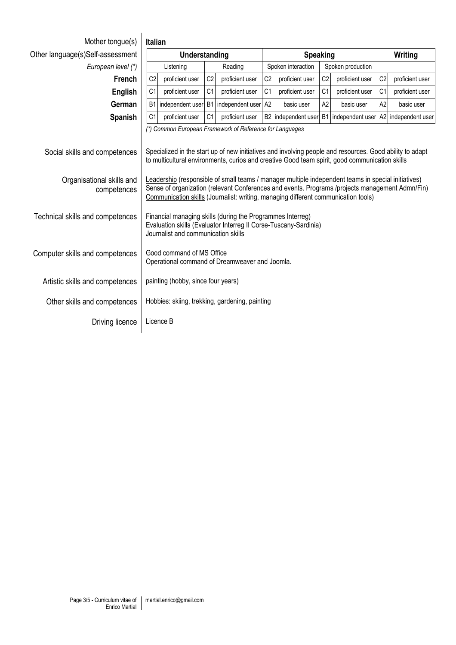| Mother tongue(s)                         | Italian                                                                                                                                                                                                                                                                                      |                 |                |                                                          |                 |                     |                |                     |                |                     |  |  |
|------------------------------------------|----------------------------------------------------------------------------------------------------------------------------------------------------------------------------------------------------------------------------------------------------------------------------------------------|-----------------|----------------|----------------------------------------------------------|-----------------|---------------------|----------------|---------------------|----------------|---------------------|--|--|
| Other language(s)Self-assessment         | Understanding                                                                                                                                                                                                                                                                                |                 |                |                                                          | <b>Speaking</b> |                     |                |                     | Writing        |                     |  |  |
| European level (*)                       |                                                                                                                                                                                                                                                                                              | Listening       |                | Reading                                                  |                 | Spoken interaction  |                | Spoken production   |                |                     |  |  |
| <b>French</b>                            | C <sub>2</sub>                                                                                                                                                                                                                                                                               | proficient user | C <sub>2</sub> | proficient user                                          | C <sub>2</sub>  | proficient user     | C <sub>2</sub> | proficient user     | C <sub>2</sub> | proficient user     |  |  |
| <b>English</b>                           | C <sub>1</sub>                                                                                                                                                                                                                                                                               | proficient user | C <sub>1</sub> | proficient user                                          | C <sub>1</sub>  | proficient user     | C <sub>1</sub> | proficient user     | C <sub>1</sub> | proficient user     |  |  |
| German                                   | <b>B1</b>                                                                                                                                                                                                                                                                                    |                 |                | independent user B1 independent user                     | A2              | basic user          | A2             | basic user          | A <sub>2</sub> | basic user          |  |  |
| <b>Spanish</b>                           | C <sub>1</sub>                                                                                                                                                                                                                                                                               | proficient user | C <sub>1</sub> | proficient user                                          |                 | B2 independent user |                | B1 independent user |                | A2 independent user |  |  |
| Social skills and competences            |                                                                                                                                                                                                                                                                                              |                 |                | (*) Common European Framework of Reference for Languages |                 |                     |                |                     |                |                     |  |  |
|                                          | Specialized in the start up of new initiatives and involving people and resources. Good ability to adapt<br>to multicultural environments, curios and creative Good team spirit, good communication skills                                                                                   |                 |                |                                                          |                 |                     |                |                     |                |                     |  |  |
| Organisational skills and<br>competences | Leadership (responsible of small teams / manager multiple independent teams in special initiatives)<br>Sense of organization (relevant Conferences and events. Programs /projects management Admn/Fin)<br>Communication skills (Journalist: writing, managing different communication tools) |                 |                |                                                          |                 |                     |                |                     |                |                     |  |  |
| Technical skills and competences         | Financial managing skills (during the Programmes Interreg)<br>Evaluation skills (Evaluator Interreg II Corse-Tuscany-Sardinia)<br>Journalist and communication skills                                                                                                                        |                 |                |                                                          |                 |                     |                |                     |                |                     |  |  |
| Computer skills and competences          | Good command of MS Office<br>Operational command of Dreamweaver and Joomla.                                                                                                                                                                                                                  |                 |                |                                                          |                 |                     |                |                     |                |                     |  |  |
| Artistic skills and competences          | painting (hobby, since four years)                                                                                                                                                                                                                                                           |                 |                |                                                          |                 |                     |                |                     |                |                     |  |  |
| Other skills and competences             | Hobbies: skiing, trekking, gardening, painting                                                                                                                                                                                                                                               |                 |                |                                                          |                 |                     |                |                     |                |                     |  |  |
| Driving licence                          |                                                                                                                                                                                                                                                                                              | Licence B       |                |                                                          |                 |                     |                |                     |                |                     |  |  |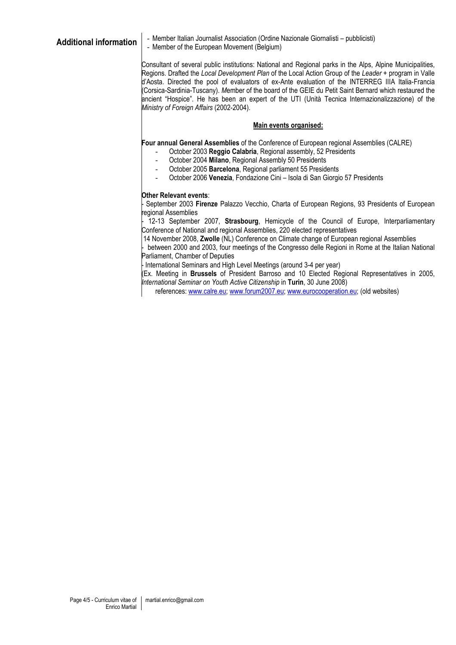Additional information  $\vert$  - Member Italian Journalist Association (Ordine Nazionale Giornalisti – pubblicisti)

- Member of the European Movement (Belgium)

Consultant of several public institutions: National and Regional parks in the Alps, Alpine Municipalities, Regions. Drafted the Local Development Plan of the Local Action Group of the Leader + program in Valle d'Aosta. Directed the pool of evaluators of ex-Ante evaluation of the INTERREG IIIA Italia-Francia (Corsica-Sardinia-Tuscany). Member of the board of the GEIE du Petit Saint Bernard which restaured the ancient "Hospice". He has been an expert of the UTI (Unità Tecnica Internazionalizzazione) of the Ministry of Foreign Affairs (2002-2004).

## Main events organised:

Four annual General Assemblies of the Conference of European regional Assemblies (CALRE)

- October 2003 Reggio Calabria, Regional assembly, 52 Presidents
- October 2004 Milano, Regional Assembly 50 Presidents
- October 2005 Barcelona, Regional parliament 55 Presidents
- October 2006 Venezia, Fondazione Cini Isola di San Giorgio 57 Presidents

## Other Relevant events:

September 2003 Firenze Palazzo Vecchio, Charta of European Regions, 93 Presidents of European regional Assemblies

- 12-13 September 2007, Strasbourg, Hemicycle of the Council of Europe, Interparliamentary Conference of National and regional Assemblies, 220 elected representatives

14 November 2008, Zwolle (NL) Conference on Climate change of European regional Assemblies - between 2000 and 2003, four meetings of the Congresso delle Regioni in Rome at the Italian National

Parliament, Chamber of Deputies

- International Seminars and High Level Meetings (around 3-4 per year)

(Ex. Meeting in Brussels of President Barroso and 10 Elected Regional Representatives in 2005, International Seminar on Youth Active Citizenship in Turin, 30 June 2008)

references: www.calre.eu; www.forum2007.eu; www.eurocooperation.eu; (old websites)